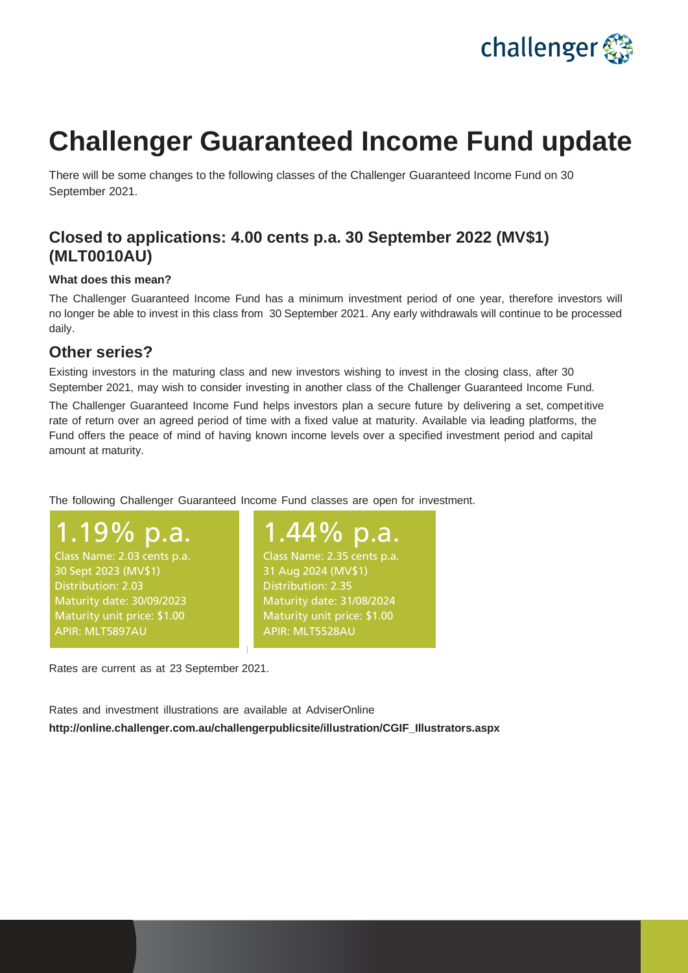

## **Challenger Guaranteed Income Fund update**

There will be some changes to the following classes of the Challenger Guaranteed Income Fund on 30 September 2021.

## **Closed to applications: 4.00 cents p.a. 30 September 2022 (MV\$1) (MLT0010AU)**

## **What does this mean?**

The Challenger Guaranteed Income Fund has a minimum investment period of one year, therefore investors will no longer be able to invest in this class from 30 September 2021. Any early withdrawals will continue to be processed daily.

## **Other series?**

Existing investors in the maturing class and new investors wishing to invest in the closing class, after 30 September 2021, may wish to consider investing in another class of the Challenger Guaranteed Income Fund.

The Challenger Guaranteed Income Fund helps investors plan a secure future by delivering a set, competitive rate of return over an agreed period of time with a fixed value at maturity. Available via leading platforms, the Fund offers the peace of mind of having known income levels over a specified investment period and capital amount at maturity.

The following Challenger Guaranteed Income Fund classes are open for investment.

1.19% p.a. Class Name: 2.03 cents p.a. 30 Sept 2023 (MV\$1) Distribution: 2.03 Maturity date: 30/09/2023 Maturity unit price: \$1.00 APIR: MLT5897AU

1.44% p.a. Class Name: 2.35 cents p.a. 31 Aug 2024 (MV\$1) Distribution: 2.35 Maturity date: 31/08/2024 Maturity unit price: \$1.00 APIR: MLT5528AU

Rates are current as at 23 September 2021.

Rates and investment illustrations are available at AdviserOnline **[http://online.challenger.com.au/challengerpublicsite/illustration/CGIF\\_Illustrators.aspx](http://online.challenger.com.au/challengerpublicsite/illustration/CGIF_Illustrators.aspx)**